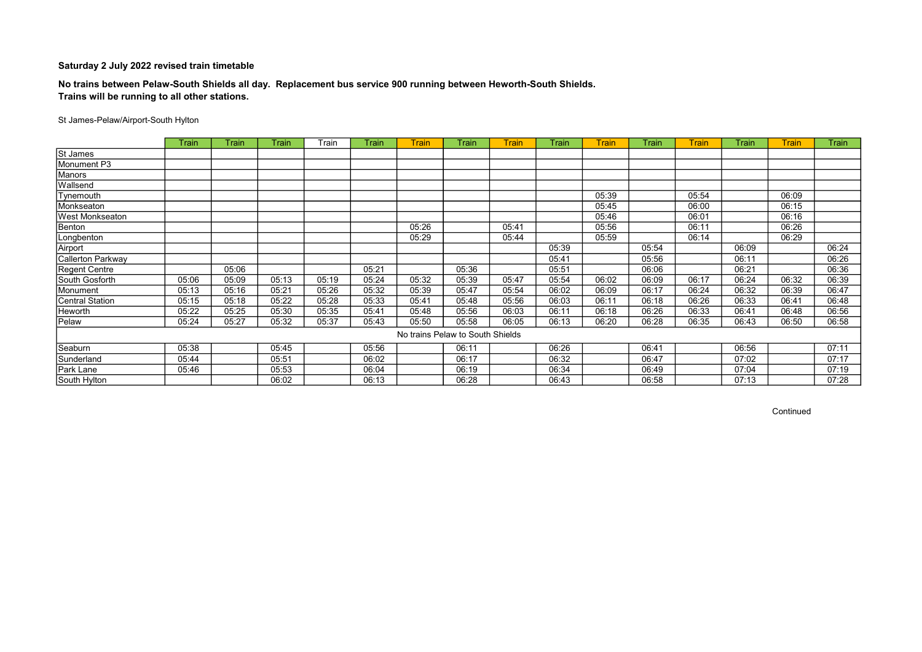#### No trains between Pelaw-South Shields all day. Replacement bus service 900 running between Heworth-South Shields. Trains will be running to all other stations.

#### St James-Pelaw/Airport-South Hylton

|                        | Train | Train | Train | Train | Train | <b>Train</b>                     | Train | <b>Train</b> | Train | <b>Train</b> | Train | <b>Train</b> | <b>Train</b> | <b>Train</b> | Train |
|------------------------|-------|-------|-------|-------|-------|----------------------------------|-------|--------------|-------|--------------|-------|--------------|--------------|--------------|-------|
| St James               |       |       |       |       |       |                                  |       |              |       |              |       |              |              |              |       |
| Monument P3            |       |       |       |       |       |                                  |       |              |       |              |       |              |              |              |       |
| Manors                 |       |       |       |       |       |                                  |       |              |       |              |       |              |              |              |       |
| Wallsend               |       |       |       |       |       |                                  |       |              |       |              |       |              |              |              |       |
| Tynemouth              |       |       |       |       |       |                                  |       |              |       | 05:39        |       | 05:54        |              | 06:09        |       |
| Monkseaton             |       |       |       |       |       |                                  |       |              |       | 05:45        |       | 06:00        |              | 06:15        |       |
| <b>West Monkseaton</b> |       |       |       |       |       |                                  |       |              |       | 05:46        |       | 06:01        |              | 06:16        |       |
| Benton                 |       |       |       |       |       | 05:26                            |       | 05:41        |       | 05:56        |       | 06:11        |              | 06:26        |       |
| Longbenton             |       |       |       |       |       | 05:29                            |       | 05:44        |       | 05:59        |       | 06:14        |              | 06:29        |       |
| Airport                |       |       |       |       |       |                                  |       |              | 05:39 |              | 05:54 |              | 06:09        |              | 06:24 |
| Callerton Parkway      |       |       |       |       |       |                                  |       |              | 05:41 |              | 05:56 |              | 06:11        |              | 06:26 |
| <b>Regent Centre</b>   |       | 05:06 |       |       | 05:21 |                                  | 05:36 |              | 05:51 |              | 06:06 |              | 06:21        |              | 06:36 |
| South Gosforth         | 05:06 | 05:09 | 05:13 | 05:19 | 05:24 | 05:32                            | 05:39 | 05:47        | 05:54 | 06:02        | 06:09 | 06:17        | 06:24        | 06:32        | 06:39 |
| Monument               | 05:13 | 05:16 | 05:21 | 05:26 | 05:32 | 05:39                            | 05:47 | 05:54        | 06:02 | 06:09        | 06:17 | 06:24        | 06:32        | 06:39        | 06:47 |
| <b>Central Station</b> | 05:15 | 05:18 | 05:22 | 05:28 | 05:33 | 05:41                            | 05:48 | 05:56        | 06:03 | 06:11        | 06:18 | 06:26        | 06:33        | 06:41        | 06:48 |
| Heworth                | 05:22 | 05:25 | 05:30 | 05:35 | 05:41 | 05:48                            | 05:56 | 06:03        | 06:11 | 06:18        | 06:26 | 06:33        | 06:41        | 06:48        | 06:56 |
| Pelaw                  | 05:24 | 05:27 | 05:32 | 05:37 | 05:43 | 05:50                            | 05:58 | 06:05        | 06:13 | 06:20        | 06:28 | 06:35        | 06:43        | 06:50        | 06:58 |
|                        |       |       |       |       |       | No trains Pelaw to South Shields |       |              |       |              |       |              |              |              |       |
| Seaburn                | 05:38 |       | 05:45 |       | 05:56 |                                  | 06:11 |              | 06:26 |              | 06:41 |              | 06:56        |              | 07:11 |
| Sunderland             | 05:44 |       | 05:51 |       | 06:02 |                                  | 06:17 |              | 06:32 |              | 06:47 |              | 07:02        |              | 07:17 |
| Park Lane              | 05:46 |       | 05:53 |       | 06:04 |                                  | 06:19 |              | 06:34 |              | 06:49 |              | 07:04        |              | 07:19 |
| South Hylton           |       |       | 06:02 |       | 06:13 |                                  | 06:28 |              | 06:43 |              | 06:58 |              | 07:13        |              | 07:28 |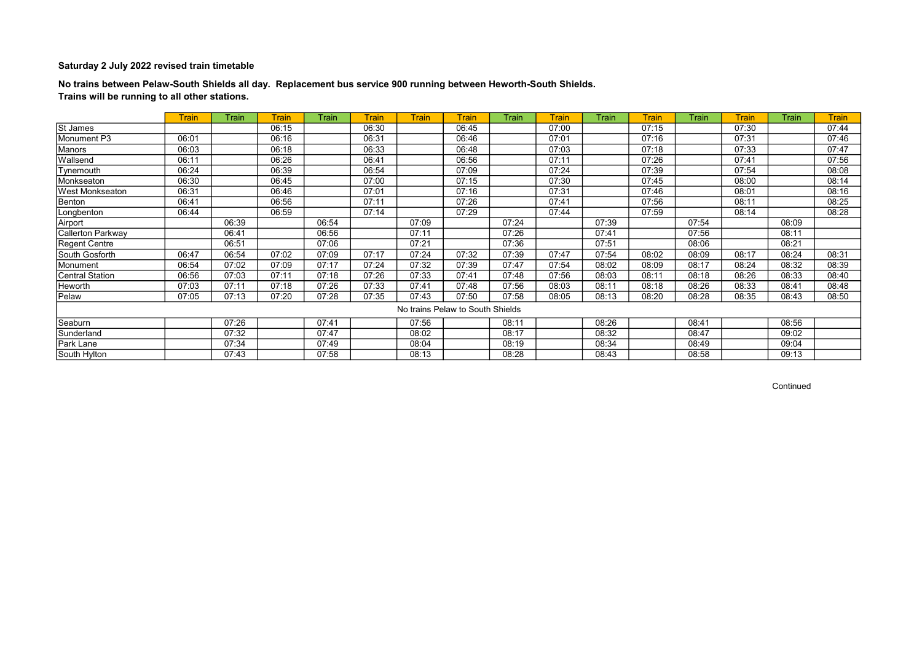No trains between Pelaw-South Shields all day. Replacement bus service 900 running between Heworth-South Shields. Trains will be running to all other stations.

|                        | <b>Train</b> | Train | <b>Train</b> | <b>Train</b> | <b>Train</b> | <b>Train</b> | <b>Train</b>                     | Train | <b>Train</b> | Train | <b>Train</b> | Train | <b>Train</b> | Train | <b>Train</b> |
|------------------------|--------------|-------|--------------|--------------|--------------|--------------|----------------------------------|-------|--------------|-------|--------------|-------|--------------|-------|--------------|
| St James               |              |       | 06:15        |              | 06:30        |              | 06:45                            |       | 07:00        |       | 07:15        |       | 07:30        |       | 07:44        |
| Monument P3            | 06:01        |       | 06:16        |              | 06:31        |              | 06:46                            |       | 07:01        |       | 07:16        |       | 07:31        |       | 07:46        |
| Manors                 | 06:03        |       | 06:18        |              | 06:33        |              | 06:48                            |       | 07:03        |       | 07:18        |       | 07:33        |       | 07:47        |
| Wallsend               | 06:11        |       | 06:26        |              | 06:41        |              | 06:56                            |       | 07:11        |       | 07:26        |       | 07:41        |       | 07:56        |
| Tynemouth              | 06:24        |       | 06:39        |              | 06:54        |              | 07:09                            |       | 07:24        |       | 07:39        |       | 07:54        |       | 08:08        |
| Monkseaton             | 06:30        |       | 06:45        |              | 07:00        |              | 07:15                            |       | 07:30        |       | 07:45        |       | 08:00        |       | 08:14        |
| <b>West Monkseaton</b> | 06:31        |       | 06:46        |              | 07:01        |              | 07:16                            |       | 07:31        |       | 07:46        |       | 08:01        |       | 08:16        |
| Benton                 | 06:41        |       | 06:56        |              | 07:11        |              | 07:26                            |       | 07:41        |       | 07:56        |       | 08:11        |       | 08:25        |
| Longbenton             | 06:44        |       | 06:59        |              | 07:14        |              | 07:29                            |       | 07:44        |       | 07:59        |       | 08:14        |       | 08:28        |
| Airport                |              | 06:39 |              | 06:54        |              | 07:09        |                                  | 07:24 |              | 07:39 |              | 07:54 |              | 08:09 |              |
| Callerton Parkway      |              | 06:41 |              | 06:56        |              | 07:11        |                                  | 07:26 |              | 07:41 |              | 07:56 |              | 08:11 |              |
| <b>Regent Centre</b>   |              | 06:51 |              | 07:06        |              | 07:21        |                                  | 07:36 |              | 07:51 |              | 08:06 |              | 08:21 |              |
| South Gosforth         | 06:47        | 06:54 | 07:02        | 07:09        | 07:17        | 07:24        | 07:32                            | 07:39 | 07:47        | 07:54 | 08:02        | 08:09 | 08:17        | 08:24 | 08:31        |
| Monument               | 06:54        | 07:02 | 07:09        | 07:17        | 07:24        | 07:32        | 07:39                            | 07:47 | 07:54        | 08:02 | 08:09        | 08:17 | 08:24        | 08:32 | 08:39        |
| <b>Central Station</b> | 06:56        | 07:03 | 07:11        | 07:18        | 07:26        | 07:33        | 07:41                            | 07:48 | 07:56        | 08:03 | 08:11        | 08:18 | 08:26        | 08:33 | 08:40        |
| Heworth                | 07:03        | 07:11 | 07:18        | 07:26        | 07:33        | 07:41        | 07:48                            | 07:56 | 08:03        | 08:11 | 08:18        | 08:26 | 08:33        | 08:41 | 08:48        |
| Pelaw                  | 07:05        | 07:13 | 07:20        | 07:28        | 07:35        | 07:43        | 07:50                            | 07:58 | 08:05        | 08:13 | 08:20        | 08:28 | 08:35        | 08:43 | 08:50        |
|                        |              |       |              |              |              |              | No trains Pelaw to South Shields |       |              |       |              |       |              |       |              |
| Seaburn                |              | 07:26 |              | 07:41        |              | 07:56        |                                  | 08:11 |              | 08:26 |              | 08:41 |              | 08:56 |              |
| Sunderland             |              | 07:32 |              | 07:47        |              | 08:02        |                                  | 08:17 |              | 08:32 |              | 08:47 |              | 09:02 |              |
| Park Lane              |              | 07:34 |              | 07:49        |              | 08:04        |                                  | 08:19 |              | 08:34 |              | 08:49 |              | 09:04 |              |
| South Hylton           |              | 07:43 |              | 07:58        |              | 08:13        |                                  | 08:28 |              | 08:43 |              | 08:58 |              | 09:13 |              |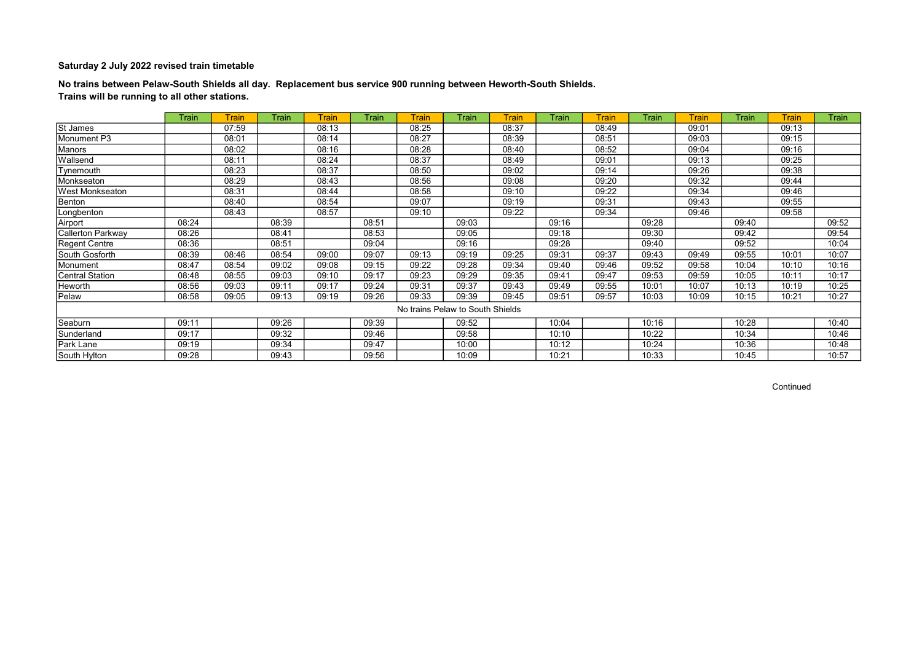No trains between Pelaw-South Shields all day. Replacement bus service 900 running between Heworth-South Shields. Trains will be running to all other stations.

|                        | Train | <b>Train</b> | Train | Train | <b>Train</b> | <b>Train</b> | Train                            | Train | Train | <b>Train</b> | Train | <b>Train</b> | Train | <b>Train</b> | <b>Train</b> |
|------------------------|-------|--------------|-------|-------|--------------|--------------|----------------------------------|-------|-------|--------------|-------|--------------|-------|--------------|--------------|
| St James               |       | 07:59        |       | 08:13 |              | 08:25        |                                  | 08:37 |       | 08:49        |       | 09:01        |       | 09:13        |              |
| Monument P3            |       | 08:01        |       | 08:14 |              | 08:27        |                                  | 08:39 |       | 08:51        |       | 09:03        |       | 09:15        |              |
| Manors                 |       | 08:02        |       | 08:16 |              | 08:28        |                                  | 08:40 |       | 08:52        |       | 09:04        |       | 09:16        |              |
| Wallsend               |       | 08:11        |       | 08:24 |              | 08:37        |                                  | 08:49 |       | 09:01        |       | 09:13        |       | 09:25        |              |
| Tynemouth              |       | 08:23        |       | 08:37 |              | 08:50        |                                  | 09:02 |       | 09:14        |       | 09:26        |       | 09:38        |              |
| Monkseaton             |       | 08:29        |       | 08:43 |              | 08:56        |                                  | 09:08 |       | 09:20        |       | 09:32        |       | 09:44        |              |
| West Monkseaton        |       | 08:31        |       | 08:44 |              | 08:58        |                                  | 09:10 |       | 09:22        |       | 09:34        |       | 09:46        |              |
| Benton                 |       | 08:40        |       | 08:54 |              | 09:07        |                                  | 09:19 |       | 09:31        |       | 09:43        |       | 09:55        |              |
| Longbenton             |       | 08:43        |       | 08:57 |              | 09:10        |                                  | 09:22 |       | 09:34        |       | 09:46        |       | 09:58        |              |
| Airport                | 08:24 |              | 08:39 |       | 08:51        |              | 09:03                            |       | 09:16 |              | 09:28 |              | 09:40 |              | 09:52        |
| Callerton Parkway      | 08:26 |              | 08:41 |       | 08:53        |              | 09:05                            |       | 09:18 |              | 09:30 |              | 09:42 |              | 09:54        |
| <b>Regent Centre</b>   | 08:36 |              | 08:51 |       | 09:04        |              | 09:16                            |       | 09:28 |              | 09:40 |              | 09:52 |              | 10:04        |
| South Gosforth         | 08:39 | 08:46        | 08:54 | 09:00 | 09:07        | 09:13        | 09:19                            | 09:25 | 09:31 | 09:37        | 09:43 | 09:49        | 09:55 | 10:01        | 10:07        |
| Monument               | 08:47 | 08:54        | 09:02 | 09:08 | 09:15        | 09:22        | 09:28                            | 09:34 | 09:40 | 09:46        | 09:52 | 09:58        | 10:04 | 10:10        | 10:16        |
| <b>Central Station</b> | 08:48 | 08:55        | 09:03 | 09:10 | 09:17        | 09:23        | 09:29                            | 09:35 | 09:41 | 09:47        | 09:53 | 09:59        | 10:05 | 10:11        | 10:17        |
| Heworth                | 08:56 | 09:03        | 09:11 | 09:17 | 09:24        | 09:31        | 09:37                            | 09:43 | 09:49 | 09:55        | 10:01 | 10:07        | 10:13 | 10:19        | 10:25        |
| Pelaw                  | 08:58 | 09:05        | 09:13 | 09:19 | 09:26        | 09:33        | 09:39                            | 09:45 | 09:51 | 09:57        | 10:03 | 10:09        | 10:15 | 10:21        | 10:27        |
|                        |       |              |       |       |              |              | No trains Pelaw to South Shields |       |       |              |       |              |       |              |              |
| Seaburn                | 09:11 |              | 09:26 |       | 09:39        |              | 09:52                            |       | 10:04 |              | 10:16 |              | 10:28 |              | 10:40        |
| Sunderland             | 09:17 |              | 09:32 |       | 09:46        |              | 09:58                            |       | 10:10 |              | 10:22 |              | 10:34 |              | 10:46        |
| Park Lane              | 09:19 |              | 09:34 |       | 09:47        |              | 10:00                            |       | 10:12 |              | 10:24 |              | 10:36 |              | 10:48        |
| South Hylton           | 09:28 |              | 09:43 |       | 09:56        |              | 10:09                            |       | 10:21 |              | 10:33 |              | 10:45 |              | 10:57        |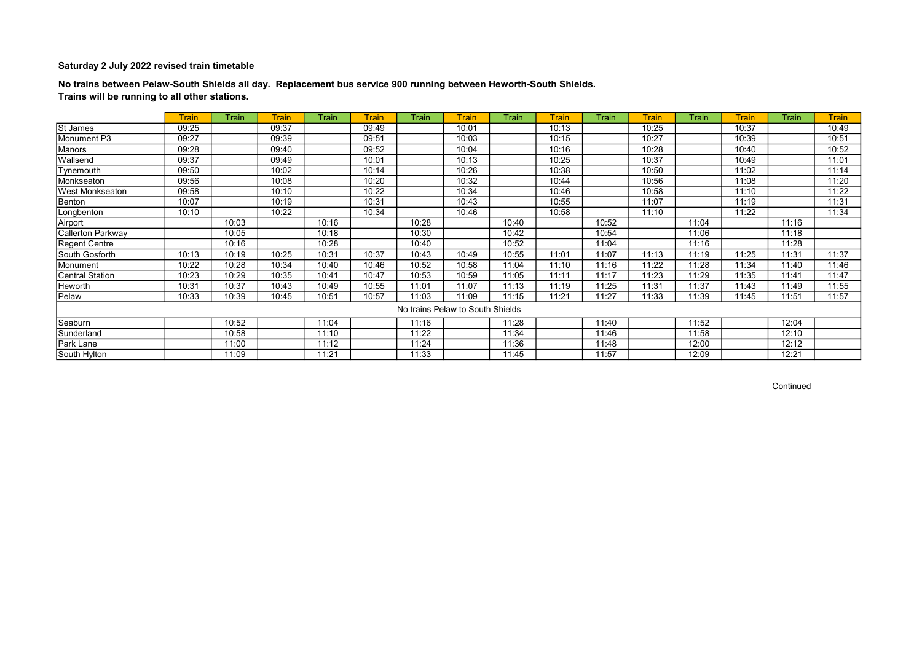No trains between Pelaw-South Shields all day. Replacement bus service 900 running between Heworth-South Shields. Trains will be running to all other stations.

|                          | <b>Train</b> | Train | <b>Train</b> | <b>Train</b> | <b>Train</b> | Train | <b>Train</b>                     | Train | <b>Train</b> | <b>Train</b> | <b>Train</b> | Train | <b>Train</b> | Train | <b>Train</b> |
|--------------------------|--------------|-------|--------------|--------------|--------------|-------|----------------------------------|-------|--------------|--------------|--------------|-------|--------------|-------|--------------|
| St James                 | 09:25        |       | 09:37        |              | 09:49        |       | 10:01                            |       | 10:13        |              | 10:25        |       | 10:37        |       | 10:49        |
| Monument P3              | 09:27        |       | 09:39        |              | 09:51        |       | 10:03                            |       | 10:15        |              | 10:27        |       | 10:39        |       | 10:51        |
| Manors                   | 09:28        |       | 09:40        |              | 09:52        |       | 10:04                            |       | 10:16        |              | 10:28        |       | 10:40        |       | 10:52        |
| Wallsend                 | 09:37        |       | 09:49        |              | 10:01        |       | 10:13                            |       | 10:25        |              | 10:37        |       | 10:49        |       | 11:01        |
| Tynemouth                | 09:50        |       | 10:02        |              | 10:14        |       | 10:26                            |       | 10:38        |              | 10:50        |       | 11:02        |       | 11:14        |
| Monkseaton               | 09:56        |       | 10:08        |              | 10:20        |       | 10:32                            |       | 10:44        |              | 10:56        |       | 11:08        |       | 11:20        |
| West Monkseaton          | 09:58        |       | 10:10        |              | 10:22        |       | 10:34                            |       | 10:46        |              | 10:58        |       | 11:10        |       | 11:22        |
| Benton                   | 10:07        |       | 10:19        |              | 10:31        |       | 10:43                            |       | 10:55        |              | 11:07        |       | 11:19        |       | 11:31        |
| Longbenton               | 10:10        |       | 10:22        |              | 10:34        |       | 10:46                            |       | 10:58        |              | 11:10        |       | 11:22        |       | 11:34        |
| Airport                  |              | 10:03 |              | 10:16        |              | 10:28 |                                  | 10:40 |              | 10:52        |              | 11:04 |              | 11:16 |              |
| <b>Callerton Parkway</b> |              | 10:05 |              | 10:18        |              | 10:30 |                                  | 10:42 |              | 10:54        |              | 11:06 |              | 11:18 |              |
| Regent Centre            |              | 10:16 |              | 10:28        |              | 10:40 |                                  | 10:52 |              | 11:04        |              | 11:16 |              | 11:28 |              |
| South Gosforth           | 10:13        | 10:19 | 10:25        | 10:31        | 10:37        | 10:43 | 10:49                            | 10:55 | 11:01        | 11:07        | 11:13        | 11:19 | 11:25        | 11:31 | 11:37        |
| Monument                 | 10:22        | 10:28 | 10:34        | 10:40        | 10:46        | 10:52 | 10:58                            | 11:04 | 11:10        | 11:16        | 11:22        | 11:28 | 11:34        | 11:40 | 11:46        |
| <b>Central Station</b>   | 10:23        | 10:29 | 10:35        | 10:41        | 10:47        | 10:53 | 10:59                            | 11:05 | 11:11        | 11:17        | 11:23        | 11:29 | 11:35        | 11:41 | 11:47        |
| Heworth                  | 10:31        | 10:37 | 10:43        | 10:49        | 10:55        | 11:01 | 11:07                            | 11:13 | 11:19        | 11:25        | 11:31        | 11:37 | 11:43        | 11:49 | 11:55        |
| Pelaw                    | 10:33        | 10:39 | 10:45        | 10:51        | 10:57        | 11:03 | 11:09                            | 11:15 | 11:21        | 11:27        | 11:33        | 11:39 | 11:45        | 11:51 | 11:57        |
|                          |              |       |              |              |              |       | No trains Pelaw to South Shields |       |              |              |              |       |              |       |              |
| Seaburn                  |              | 10:52 |              | 11:04        |              | 11:16 |                                  | 11:28 |              | 11:40        |              | 11:52 |              | 12:04 |              |
| Sunderland               |              | 10:58 |              | 11:10        |              | 11:22 |                                  | 11:34 |              | 11:46        |              | 11:58 |              | 12:10 |              |
| Park Lane                |              | 11:00 |              | 11:12        |              | 11:24 |                                  | 11:36 |              | 11:48        |              | 12:00 |              | 12:12 |              |
| South Hylton             |              | 11:09 |              | 11:21        |              | 11:33 |                                  | 11:45 |              | 11:57        |              | 12:09 |              | 12:21 |              |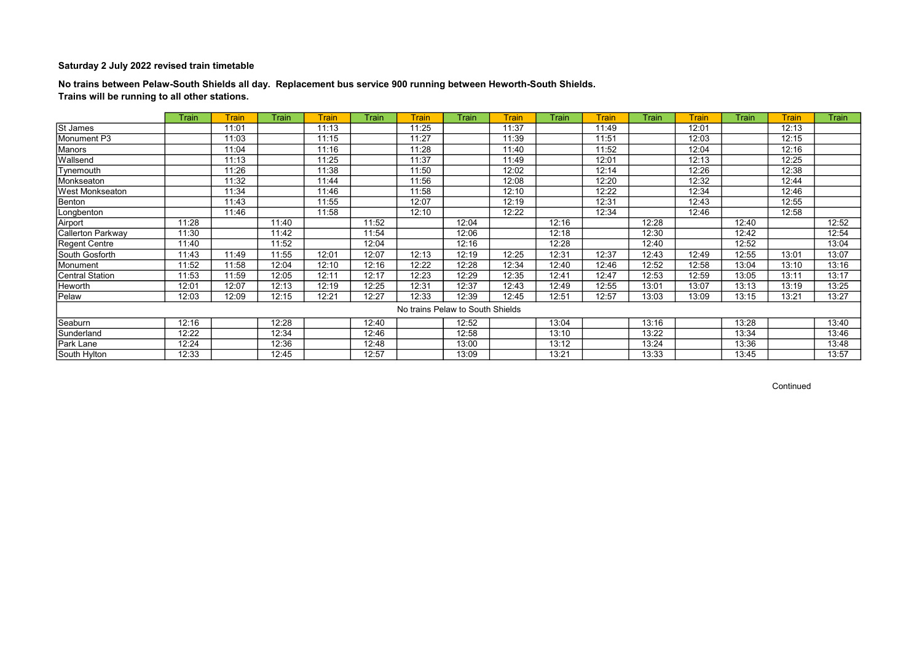No trains between Pelaw-South Shields all day. Replacement bus service 900 running between Heworth-South Shields. Trains will be running to all other stations.

|                          | Train | Train | <b>Train</b> | <b>Train</b> | <b>Train</b> | <b>Train</b>                     | Train | Train | Train | <b>Train</b> | Train | <b>Train</b> | Train | <b>Train</b> | <b>Train</b> |
|--------------------------|-------|-------|--------------|--------------|--------------|----------------------------------|-------|-------|-------|--------------|-------|--------------|-------|--------------|--------------|
| St James                 |       | 11:01 |              | 11:13        |              | 11:25                            |       | 11:37 |       | 11:49        |       | 12:01        |       | 12:13        |              |
| Monument P3              |       | 11:03 |              | 11:15        |              | 11:27                            |       | 11:39 |       | 11:51        |       | 12:03        |       | 12:15        |              |
| Manors                   |       | 11:04 |              | 11:16        |              | 11:28                            |       | 11:40 |       | 11:52        |       | 12:04        |       | 12:16        |              |
| Wallsend                 |       | 11:13 |              | 11:25        |              | 11:37                            |       | 11:49 |       | 12:01        |       | 12:13        |       | 12:25        |              |
| Tynemouth                |       | 11:26 |              | 11:38        |              | 11:50                            |       | 12:02 |       | 12:14        |       | 12:26        |       | 12:38        |              |
| Monkseaton               |       | 11:32 |              | 11:44        |              | 11:56                            |       | 12:08 |       | 12:20        |       | 12:32        |       | 12:44        |              |
| West Monkseaton          |       | 11:34 |              | 11:46        |              | 11:58                            |       | 12:10 |       | 12:22        |       | 12:34        |       | 12:46        |              |
| Benton                   |       | 11:43 |              | 11:55        |              | 12:07                            |       | 12:19 |       | 12:31        |       | 12:43        |       | 12:55        |              |
| Longbenton               |       | 11:46 |              | 11:58        |              | 12:10                            |       | 12:22 |       | 12:34        |       | 12:46        |       | 12:58        |              |
| Airport                  | 11:28 |       | 11:40        |              | 11:52        |                                  | 12:04 |       | 12:16 |              | 12:28 |              | 12:40 |              | 12:52        |
| <b>Callerton Parkway</b> | 11:30 |       | 11:42        |              | 11:54        |                                  | 12:06 |       | 12:18 |              | 12:30 |              | 12:42 |              | 12:54        |
| Regent Centre            | 11:40 |       | 11:52        |              | 12:04        |                                  | 12:16 |       | 12:28 |              | 12:40 |              | 12:52 |              | 13:04        |
| South Gosforth           | 11:43 | 11:49 | 11:55        | 12:01        | 12:07        | 12:13                            | 12:19 | 12:25 | 12:31 | 12:37        | 12:43 | 12:49        | 12:55 | 13:01        | 13:07        |
| Monument                 | 11:52 | 11:58 | 12:04        | 12:10        | 12:16        | 12:22                            | 12:28 | 12:34 | 12:40 | 12:46        | 12:52 | 12:58        | 13:04 | 13:10        | 13:16        |
| <b>Central Station</b>   | 11:53 | 11:59 | 12:05        | 12:11        | 12:17        | 12:23                            | 12:29 | 12:35 | 12:41 | 12:47        | 12:53 | 12:59        | 13:05 | 13:11        | 13:17        |
| Heworth                  | 12:01 | 12:07 | 12:13        | 12:19        | 12:25        | 12:31                            | 12:37 | 12:43 | 12:49 | 12:55        | 13:01 | 13:07        | 13:13 | 13:19        | 13:25        |
| Pelaw                    | 12:03 | 12:09 | 12:15        | 12:21        | 12:27        | 12:33                            | 12:39 | 12:45 | 12:51 | 12:57        | 13:03 | 13:09        | 13:15 | 13:21        | 13:27        |
|                          |       |       |              |              |              | No trains Pelaw to South Shields |       |       |       |              |       |              |       |              |              |
| Seaburn                  | 12:16 |       | 12:28        |              | 12:40        |                                  | 12:52 |       | 13:04 |              | 13:16 |              | 13:28 |              | 13:40        |
| Sunderland               | 12:22 |       | 12:34        |              | 12:46        |                                  | 12:58 |       | 13:10 |              | 13:22 |              | 13:34 |              | 13:46        |
| Park Lane                | 12:24 |       | 12:36        |              | 12:48        |                                  | 13:00 |       | 13:12 |              | 13:24 |              | 13:36 |              | 13:48        |
| South Hylton             | 12:33 |       | 12:45        |              | 12:57        |                                  | 13:09 |       | 13:21 |              | 13:33 |              | 13:45 |              | 13:57        |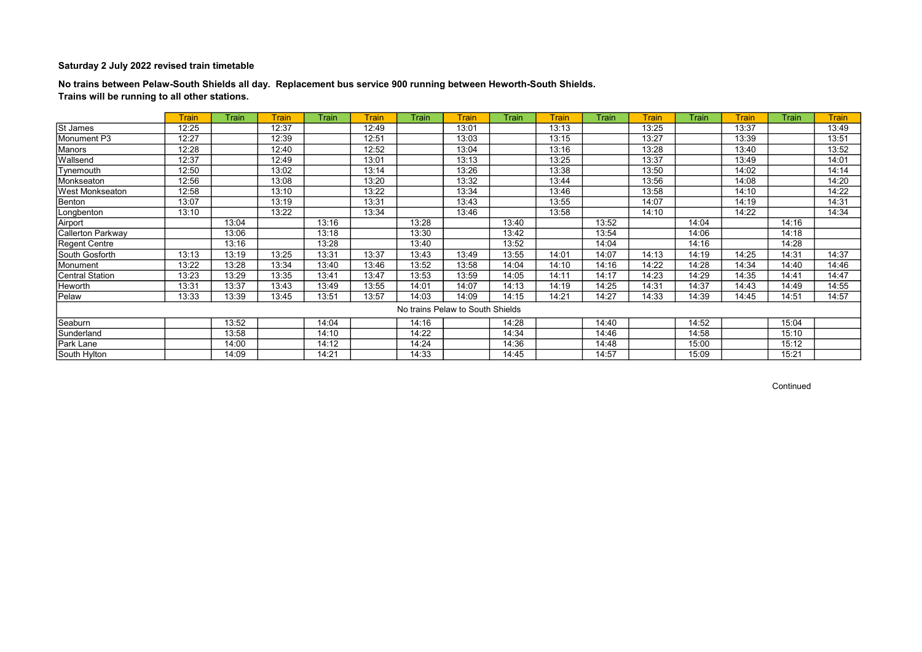No trains between Pelaw-South Shields all day. Replacement bus service 900 running between Heworth-South Shields. Trains will be running to all other stations.

|                        | <b>Train</b> | Train | <b>Train</b> | <b>Train</b> | <b>Train</b> | Train | <b>Train</b>                     | Train | <b>Train</b> | <b>Train</b> | <b>Train</b> | Train | <b>Train</b> | Train | <b>Train</b> |
|------------------------|--------------|-------|--------------|--------------|--------------|-------|----------------------------------|-------|--------------|--------------|--------------|-------|--------------|-------|--------------|
| St James               | 12:25        |       | 12:37        |              | 12:49        |       | 13:01                            |       | 13:13        |              | 13:25        |       | 13:37        |       | 13:49        |
| Monument P3            | 12:27        |       | 12:39        |              | 12:51        |       | 13:03                            |       | 13:15        |              | 13:27        |       | 13:39        |       | 13:51        |
| Manors                 | 12:28        |       | 12:40        |              | 12:52        |       | 13:04                            |       | 13:16        |              | 13:28        |       | 13:40        |       | 13:52        |
| Wallsend               | 12:37        |       | 12:49        |              | 13:01        |       | 13:13                            |       | 13:25        |              | 13:37        |       | 13:49        |       | 14:01        |
| Tynemouth              | 12:50        |       | 13:02        |              | 13:14        |       | 13:26                            |       | 13:38        |              | 13:50        |       | 14:02        |       | 14:14        |
| Monkseaton             | 12:56        |       | 13:08        |              | 13:20        |       | 13:32                            |       | 13:44        |              | 13:56        |       | 14:08        |       | 14:20        |
| West Monkseaton        | 12:58        |       | 13:10        |              | 13:22        |       | 13:34                            |       | 13:46        |              | 13:58        |       | 14:10        |       | 14:22        |
| Benton                 | 13:07        |       | 13:19        |              | 13:31        |       | 13:43                            |       | 13:55        |              | 14:07        |       | 14:19        |       | 14:31        |
| Longbenton             | 13:10        |       | 13:22        |              | 13:34        |       | 13:46                            |       | 13:58        |              | 14:10        |       | 14:22        |       | 14:34        |
| Airport                |              | 13:04 |              | 13:16        |              | 13:28 |                                  | 13:40 |              | 13:52        |              | 14:04 |              | 14:16 |              |
| Callerton Parkway      |              | 13:06 |              | 13:18        |              | 13:30 |                                  | 13:42 |              | 13:54        |              | 14:06 |              | 14:18 |              |
| Regent Centre          |              | 13:16 |              | 13:28        |              | 13:40 |                                  | 13:52 |              | 14:04        |              | 14:16 |              | 14:28 |              |
| South Gosforth         | 13:13        | 13:19 | 13:25        | 13:31        | 13:37        | 13:43 | 13:49                            | 13:55 | 14:01        | 14:07        | 14:13        | 14:19 | 14:25        | 14:31 | 14:37        |
| Monument               | 13:22        | 13:28 | 13:34        | 13:40        | 13:46        | 13:52 | 13:58                            | 14:04 | 14:10        | 14:16        | 14:22        | 14:28 | 14:34        | 14:40 | 14:46        |
| <b>Central Station</b> | 13:23        | 13:29 | 13:35        | 13:41        | 13:47        | 13:53 | 13:59                            | 14:05 | 14:11        | 14:17        | 14:23        | 14:29 | 14:35        | 14:41 | 14:47        |
| Heworth                | 13:31        | 13:37 | 13:43        | 13:49        | 13:55        | 14:01 | 14:07                            | 14:13 | 14:19        | 14:25        | 14:31        | 14:37 | 14:43        | 14:49 | 14:55        |
| Pelaw                  | 13:33        | 13:39 | 13:45        | 13:51        | 13:57        | 14:03 | 14:09                            | 14:15 | 14:21        | 14:27        | 14:33        | 14:39 | 14:45        | 14:51 | 14:57        |
|                        |              |       |              |              |              |       | No trains Pelaw to South Shields |       |              |              |              |       |              |       |              |
| Seaburn                |              | 13:52 |              | 14:04        |              | 14:16 |                                  | 14:28 |              | 14:40        |              | 14:52 |              | 15:04 |              |
| Sunderland             |              | 13:58 |              | 14:10        |              | 14:22 |                                  | 14:34 |              | 14:46        |              | 14:58 |              | 15:10 |              |
| Park Lane              |              | 14:00 |              | 14:12        |              | 14:24 |                                  | 14:36 |              | 14:48        |              | 15:00 |              | 15:12 |              |
| South Hylton           |              | 14:09 |              | 14:21        |              | 14:33 |                                  | 14:45 |              | 14:57        |              | 15:09 |              | 15:21 |              |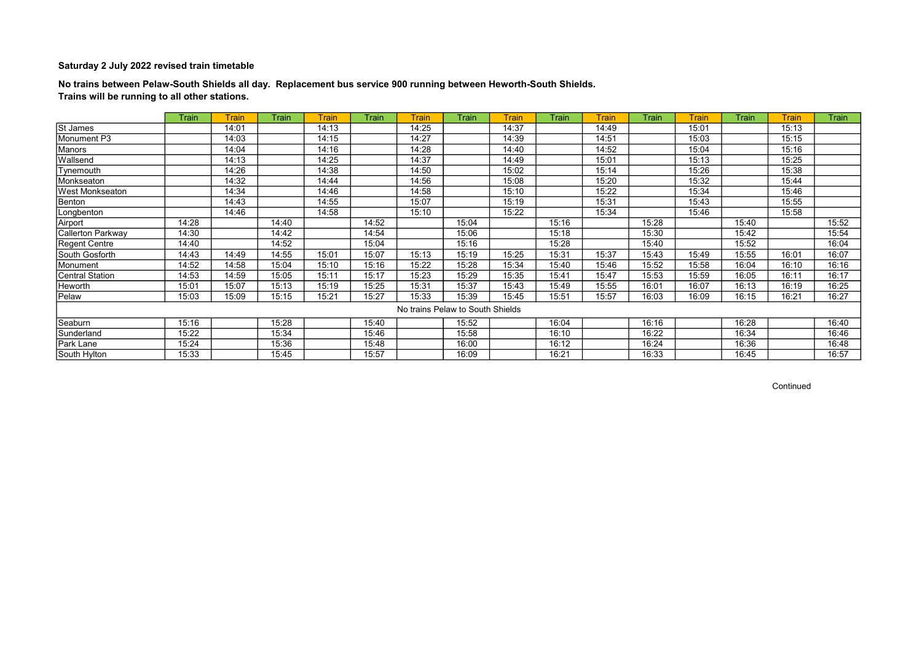No trains between Pelaw-South Shields all day. Replacement bus service 900 running between Heworth-South Shields. Trains will be running to all other stations.

|                          | Train | <b>Train</b> | <b>Train</b> | <b>Train</b> | <b>Train</b> | <b>Train</b>                     | <b>Train</b> | <b>Train</b> | Train | <b>Train</b> | <b>Train</b> | <b>Train</b> | Train | Train | <b>Train</b> |
|--------------------------|-------|--------------|--------------|--------------|--------------|----------------------------------|--------------|--------------|-------|--------------|--------------|--------------|-------|-------|--------------|
| St James                 |       | 14:01        |              | 14:13        |              | 14:25                            |              | 14:37        |       | 14:49        |              | 15:01        |       | 15:13 |              |
| Monument P3              |       | 14:03        |              | 14:15        |              | 14:27                            |              | 14:39        |       | 14:51        |              | 15:03        |       | 15:15 |              |
| Manors                   |       | 14:04        |              | 14:16        |              | 14:28                            |              | 14:40        |       | 14:52        |              | 15:04        |       | 15:16 |              |
| Wallsend                 |       | 14:13        |              | 14:25        |              | 14:37                            |              | 14:49        |       | 15:01        |              | 15:13        |       | 15:25 |              |
| Tynemouth                |       | 14:26        |              | 14:38        |              | 14:50                            |              | 15:02        |       | 15:14        |              | 15:26        |       | 15:38 |              |
| Monkseaton               |       | 14:32        |              | 14:44        |              | 14:56                            |              | 15:08        |       | 15:20        |              | 15:32        |       | 15:44 |              |
| West Monkseaton          |       | 14:34        |              | 14:46        |              | 14:58                            |              | 15:10        |       | 15:22        |              | 15:34        |       | 15:46 |              |
| Benton                   |       | 14:43        |              | 14:55        |              | 15:07                            |              | 15:19        |       | 15:31        |              | 15:43        |       | 15:55 |              |
| Longbenton               |       | 14:46        |              | 14:58        |              | 15:10                            |              | 15:22        |       | 15:34        |              | 15:46        |       | 15:58 |              |
| Airport                  | 14:28 |              | 14:40        |              | 14:52        |                                  | 15:04        |              | 15:16 |              | 15:28        |              | 15:40 |       | 15:52        |
| <b>Callerton Parkway</b> | 14:30 |              | 14:42        |              | 14:54        |                                  | 15:06        |              | 15:18 |              | 15:30        |              | 15:42 |       | 15:54        |
| Regent Centre            | 14:40 |              | 14:52        |              | 15:04        |                                  | 15:16        |              | 15:28 |              | 15:40        |              | 15:52 |       | 16:04        |
| South Gosforth           | 14:43 | 14:49        | 14:55        | 15:01        | 15:07        | 15:13                            | 15:19        | 15:25        | 15:31 | 15:37        | 15:43        | 15:49        | 15:55 | 16:01 | 16:07        |
| Monument                 | 14:52 | 14:58        | 15:04        | 15:10        | 15:16        | 15:22                            | 15:28        | 15:34        | 15:40 | 15:46        | 15:52        | 15:58        | 16:04 | 16:10 | 16:16        |
| Central Station          | 14:53 | 14:59        | 15:05        | 15:11        | 15:17        | 15:23                            | 15:29        | 15:35        | 15:41 | 15:47        | 15:53        | 15:59        | 16:05 | 16:11 | 16:17        |
| Heworth                  | 15:01 | 15:07        | 15:13        | 15:19        | 15:25        | 15:31                            | 15:37        | 15:43        | 15:49 | 15:55        | 16:01        | 16:07        | 16:13 | 16:19 | 16:25        |
| Pelaw                    | 15:03 | 15:09        | 15:15        | 15:21        | 15:27        | 15:33                            | 15:39        | 15:45        | 15:51 | 15:57        | 16:03        | 16:09        | 16:15 | 16:21 | 16:27        |
|                          |       |              |              |              |              | No trains Pelaw to South Shields |              |              |       |              |              |              |       |       |              |
| Seaburn                  | 15:16 |              | 15:28        |              | 15:40        |                                  | 15:52        |              | 16:04 |              | 16:16        |              | 16:28 |       | 16:40        |
| Sunderland               | 15:22 |              | 15:34        |              | 15:46        |                                  | 15:58        |              | 16:10 |              | 16:22        |              | 16:34 |       | 16:46        |
| Park Lane                | 15:24 |              | 15:36        |              | 15:48        |                                  | 16:00        |              | 16:12 |              | 16:24        |              | 16:36 |       | 16:48        |
| South Hylton             | 15:33 |              | 15:45        |              | 15:57        |                                  | 16:09        |              | 16:21 |              | 16:33        |              | 16:45 |       | 16:57        |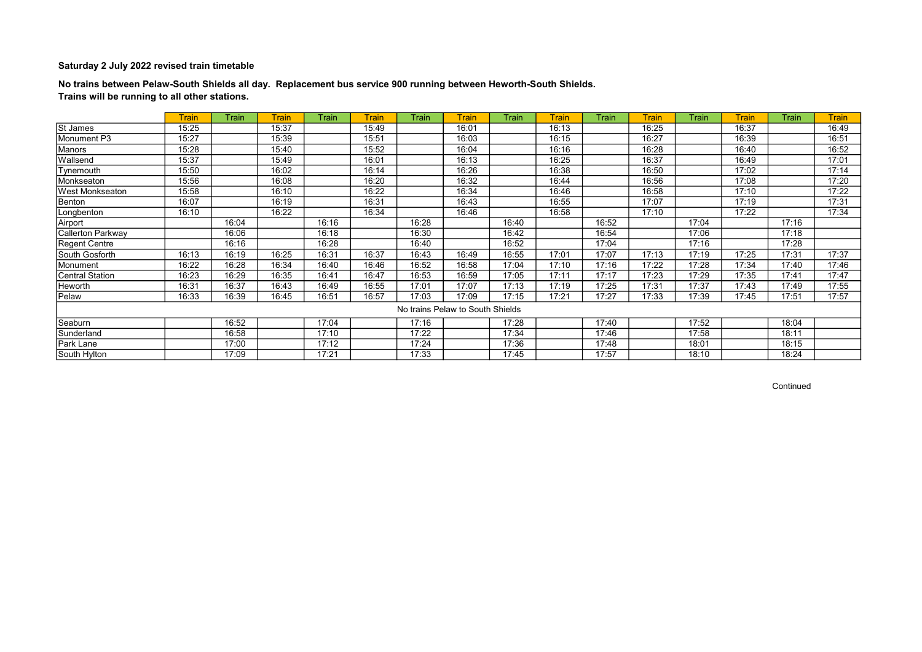No trains between Pelaw-South Shields all day. Replacement bus service 900 running between Heworth-South Shields. Trains will be running to all other stations.

|                        | <b>Train</b> | Train | <b>Train</b> | Train | <b>Train</b> | Train | <b>Train</b>                     | Train | <b>Train</b> | <b>Train</b> | <b>Train</b> | Train | <b>Train</b> | Train | <b>Train</b> |
|------------------------|--------------|-------|--------------|-------|--------------|-------|----------------------------------|-------|--------------|--------------|--------------|-------|--------------|-------|--------------|
| St James               | 15:25        |       | 15:37        |       | 15:49        |       | 16:01                            |       | 16:13        |              | 16:25        |       | 16:37        |       | 16:49        |
| Monument P3            | 15:27        |       | 15:39        |       | 15:51        |       | 16:03                            |       | 16:15        |              | 16:27        |       | 16:39        |       | 16:51        |
| Manors                 | 15:28        |       | 15:40        |       | 15:52        |       | 16:04                            |       | 16:16        |              | 16:28        |       | 16:40        |       | 16:52        |
| Wallsend               | 15:37        |       | 15:49        |       | 16:01        |       | 16:13                            |       | 16:25        |              | 16:37        |       | 16:49        |       | 17:01        |
| Tynemouth              | 15:50        |       | 16:02        |       | 16:14        |       | 16:26                            |       | 16:38        |              | 16:50        |       | 17:02        |       | 17:14        |
| Monkseaton             | 15:56        |       | 16:08        |       | 16:20        |       | 16:32                            |       | 16:44        |              | 16:56        |       | 17:08        |       | 17:20        |
| West Monkseaton        | 15:58        |       | 16:10        |       | 16:22        |       | 16:34                            |       | 16:46        |              | 16:58        |       | 17:10        |       | 17:22        |
| Benton                 | 16:07        |       | 16:19        |       | 16:31        |       | 16:43                            |       | 16:55        |              | 17:07        |       | 17:19        |       | 17:31        |
| Longbenton             | 16:10        |       | 16:22        |       | 16:34        |       | 16:46                            |       | 16:58        |              | 17:10        |       | 17:22        |       | 17:34        |
| Airport                |              | 16:04 |              | 16:16 |              | 16:28 |                                  | 16:40 |              | 16:52        |              | 17:04 |              | 17:16 |              |
| Callerton Parkway      |              | 16:06 |              | 16:18 |              | 16:30 |                                  | 16:42 |              | 16:54        |              | 17:06 |              | 17:18 |              |
| Regent Centre          |              | 16:16 |              | 16:28 |              | 16:40 |                                  | 16:52 |              | 17:04        |              | 17:16 |              | 17:28 |              |
| South Gosforth         | 16:13        | 16:19 | 16:25        | 16:31 | 16:37        | 16:43 | 16:49                            | 16:55 | 17:01        | 17:07        | 17:13        | 17:19 | 17:25        | 17:31 | 17:37        |
| Monument               | 16:22        | 16:28 | 16:34        | 16:40 | 16:46        | 16:52 | 16:58                            | 17:04 | 17:10        | 17:16        | 17:22        | 17:28 | 17:34        | 17:40 | 17:46        |
| <b>Central Station</b> | 16:23        | 16:29 | 16:35        | 16:41 | 16:47        | 16:53 | 16:59                            | 17:05 | 17:11        | 17:17        | 17:23        | 17:29 | 17:35        | 17:41 | 17:47        |
| Heworth                | 16:31        | 16:37 | 16:43        | 16:49 | 16:55        | 17:01 | 17:07                            | 17:13 | 17:19        | 17:25        | 17:31        | 17:37 | 17:43        | 17:49 | 17:55        |
| Pelaw                  | 16:33        | 16:39 | 16:45        | 16:51 | 16:57        | 17:03 | 17:09                            | 17:15 | 17:21        | 17:27        | 17:33        | 17:39 | 17:45        | 17:51 | 17:57        |
|                        |              |       |              |       |              |       | No trains Pelaw to South Shields |       |              |              |              |       |              |       |              |
| Seaburn                |              | 16:52 |              | 17:04 |              | 17:16 |                                  | 17:28 |              | 17:40        |              | 17:52 |              | 18:04 |              |
| Sunderland             |              | 16:58 |              | 17:10 |              | 17:22 |                                  | 17:34 |              | 17:46        |              | 17:58 |              | 18:11 |              |
| Park Lane              |              | 17:00 |              | 17:12 |              | 17:24 |                                  | 17:36 |              | 17:48        |              | 18:01 |              | 18:15 |              |
| South Hylton           |              | 17:09 |              | 17:21 |              | 17:33 |                                  | 17:45 |              | 17:57        |              | 18:10 |              | 18:24 |              |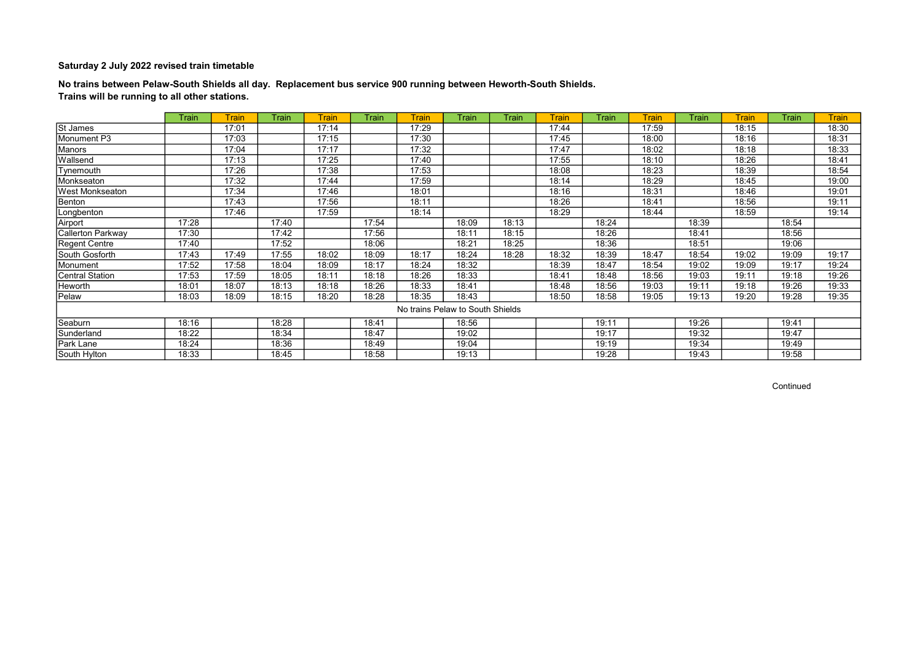No trains between Pelaw-South Shields all day. Replacement bus service 900 running between Heworth-South Shields. Trains will be running to all other stations.

|                          | Train | Train | <b>Train</b> | <b>Train</b> | <b>Train</b> | <b>Train</b> | Train                            | Train | <b>Train</b> | Train | <b>Train</b> | Train | <b>Train</b> | Train | <b>Train</b> |
|--------------------------|-------|-------|--------------|--------------|--------------|--------------|----------------------------------|-------|--------------|-------|--------------|-------|--------------|-------|--------------|
| St James                 |       | 17:01 |              | 17:14        |              | 17:29        |                                  |       | 17:44        |       | 17:59        |       | 18:15        |       | 18:30        |
| Monument P3              |       | 17:03 |              | 17:15        |              | 17:30        |                                  |       | 17:45        |       | 18:00        |       | 18:16        |       | 18:31        |
| Manors                   |       | 17:04 |              | 17:17        |              | 17:32        |                                  |       | 17:47        |       | 18:02        |       | 18:18        |       | 18:33        |
| Wallsend                 |       | 17:13 |              | 17:25        |              | 17:40        |                                  |       | 17:55        |       | 18:10        |       | 18:26        |       | 18:41        |
| Tynemouth                |       | 17:26 |              | 17:38        |              | 17:53        |                                  |       | 18:08        |       | 18:23        |       | 18:39        |       | 18:54        |
| Monkseaton               |       | 17:32 |              | 17:44        |              | 17:59        |                                  |       | 18:14        |       | 18:29        |       | 18:45        |       | 19:00        |
| West Monkseaton          |       | 17:34 |              | 17:46        |              | 18:01        |                                  |       | 18:16        |       | 18:31        |       | 18:46        |       | 19:01        |
| Benton                   |       | 17:43 |              | 17:56        |              | 18:11        |                                  |       | 18:26        |       | 18:41        |       | 18:56        |       | 19:11        |
| Longbenton               |       | 17:46 |              | 17:59        |              | 18:14        |                                  |       | 18:29        |       | 18:44        |       | 18:59        |       | 19:14        |
| Airport                  | 17:28 |       | 17:40        |              | 17:54        |              | 18:09                            | 18:13 |              | 18:24 |              | 18:39 |              | 18:54 |              |
| <b>Callerton Parkway</b> | 17:30 |       | 17:42        |              | 17:56        |              | 18:11                            | 18:15 |              | 18:26 |              | 18:41 |              | 18:56 |              |
| Regent Centre            | 17:40 |       | 17:52        |              | 18:06        |              | 18:21                            | 18:25 |              | 18:36 |              | 18:51 |              | 19:06 |              |
| South Gosforth           | 17:43 | 17:49 | 17:55        | 18:02        | 18:09        | 18:17        | 18:24                            | 18:28 | 18:32        | 18:39 | 18:47        | 18:54 | 19:02        | 19:09 | 19:17        |
| Monument                 | 17:52 | 17:58 | 18:04        | 18:09        | 18:17        | 18:24        | 18:32                            |       | 18:39        | 18:47 | 18:54        | 19:02 | 19:09        | 19:17 | 19:24        |
| <b>Central Station</b>   | 17:53 | 17:59 | 18:05        | 18:11        | 18:18        | 18:26        | 18:33                            |       | 18:41        | 18:48 | 18:56        | 19:03 | 19:11        | 19:18 | 19:26        |
| Heworth                  | 18:01 | 18:07 | 18:13        | 18:18        | 18:26        | 18:33        | 18:41                            |       | 18:48        | 18:56 | 19:03        | 19:11 | 19:18        | 19:26 | 19:33        |
| Pelaw                    | 18:03 | 18:09 | 18:15        | 18:20        | 18:28        | 18:35        | 18:43                            |       | 18:50        | 18:58 | 19:05        | 19:13 | 19:20        | 19:28 | 19:35        |
|                          |       |       |              |              |              |              | No trains Pelaw to South Shields |       |              |       |              |       |              |       |              |
| Seaburn                  | 18:16 |       | 18:28        |              | 18:41        |              | 18:56                            |       |              | 19:11 |              | 19:26 |              | 19:41 |              |
| Sunderland               | 18:22 |       | 18:34        |              | 18:47        |              | 19:02                            |       |              | 19:17 |              | 19:32 |              | 19:47 |              |
| Park Lane                | 18:24 |       | 18:36        |              | 18:49        |              | 19:04                            |       |              | 19:19 |              | 19:34 |              | 19:49 |              |
| South Hylton             | 18:33 |       | 18:45        |              | 18:58        |              | 19:13                            |       |              | 19:28 |              | 19:43 |              | 19:58 |              |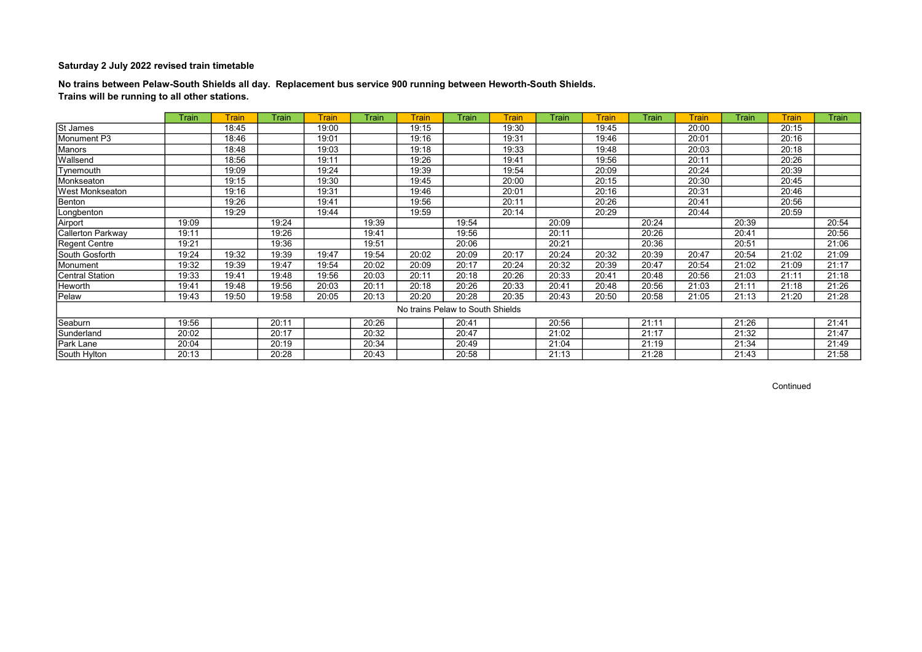No trains between Pelaw-South Shields all day. Replacement bus service 900 running between Heworth-South Shields. Trains will be running to all other stations.

|                          | Train | <b>Train</b> | <b>Train</b> | <b>Train</b> | Train | <b>Train</b>                     | <b>Train</b> | <b>Train</b> | Train | <b>Train</b> | <b>Train</b> | <b>Train</b> | Train | Train | <b>Train</b> |
|--------------------------|-------|--------------|--------------|--------------|-------|----------------------------------|--------------|--------------|-------|--------------|--------------|--------------|-------|-------|--------------|
| <b>St James</b>          |       | 18:45        |              | 19:00        |       | 19:15                            |              | 19:30        |       | 19:45        |              | 20:00        |       | 20:15 |              |
| Monument P3              |       | 18:46        |              | 19:01        |       | 19:16                            |              | 19:31        |       | 19:46        |              | 20:01        |       | 20:16 |              |
| Manors                   |       | 18:48        |              | 19:03        |       | 19:18                            |              | 19:33        |       | 19:48        |              | 20:03        |       | 20:18 |              |
| Wallsend                 |       | 18:56        |              | 19:11        |       | 19:26                            |              | 19:41        |       | 19:56        |              | 20:11        |       | 20:26 |              |
| Tynemouth                |       | 19:09        |              | 19:24        |       | 19:39                            |              | 19:54        |       | 20:09        |              | 20:24        |       | 20:39 |              |
| Monkseaton               |       | 19:15        |              | 19:30        |       | 19:45                            |              | 20:00        |       | 20:15        |              | 20:30        |       | 20:45 |              |
| <b>West Monkseaton</b>   |       | 19:16        |              | 19:31        |       | 19:46                            |              | 20:01        |       | 20:16        |              | 20:31        |       | 20:46 |              |
| Benton                   |       | 19:26        |              | 19:41        |       | 19:56                            |              | 20:11        |       | 20:26        |              | 20:41        |       | 20:56 |              |
| Longbenton               |       | 19:29        |              | 19:44        |       | 19:59                            |              | 20:14        |       | 20:29        |              | 20:44        |       | 20:59 |              |
| Airport                  | 19:09 |              | 19:24        |              | 19:39 |                                  | 19:54        |              | 20:09 |              | 20:24        |              | 20:39 |       | 20:54        |
| <b>Callerton Parkway</b> | 19:11 |              | 19:26        |              | 19:41 |                                  | 19:56        |              | 20:11 |              | 20:26        |              | 20:41 |       | 20:56        |
| Regent Centre            | 19:21 |              | 19:36        |              | 19:51 |                                  | 20:06        |              | 20:21 |              | 20:36        |              | 20:51 |       | 21:06        |
| South Gosforth           | 19:24 | 19:32        | 19:39        | 19:47        | 19:54 | 20:02                            | 20:09        | 20:17        | 20:24 | 20:32        | 20:39        | 20:47        | 20:54 | 21:02 | 21:09        |
| Monument                 | 19:32 | 19:39        | 19:47        | 19:54        | 20:02 | 20:09                            | 20:17        | 20:24        | 20:32 | 20:39        | 20:47        | 20:54        | 21:02 | 21:09 | 21:17        |
| <b>Central Station</b>   | 19:33 | 19:41        | 19:48        | 19:56        | 20:03 | 20:11                            | 20:18        | 20:26        | 20:33 | 20:41        | 20:48        | 20:56        | 21:03 | 21:11 | 21:18        |
| Heworth                  | 19:41 | 19:48        | 19:56        | 20:03        | 20:11 | 20:18                            | 20:26        | 20:33        | 20:41 | 20:48        | 20:56        | 21:03        | 21:11 | 21:18 | 21:26        |
| Pelaw                    | 19:43 | 19:50        | 19:58        | 20:05        | 20:13 | 20:20                            | 20:28        | 20:35        | 20:43 | 20:50        | 20:58        | 21:05        | 21:13 | 21:20 | 21:28        |
|                          |       |              |              |              |       | No trains Pelaw to South Shields |              |              |       |              |              |              |       |       |              |
| Seaburn                  | 19:56 |              | 20:11        |              | 20:26 |                                  | 20:41        |              | 20:56 |              | 21:11        |              | 21:26 |       | 21:41        |
| Sunderland               | 20:02 |              | 20:17        |              | 20:32 |                                  | 20:47        |              | 21:02 |              | 21:17        |              | 21:32 |       | 21:47        |
| Park Lane                | 20:04 |              | 20:19        |              | 20:34 |                                  | 20:49        |              | 21:04 |              | 21:19        |              | 21:34 |       | 21:49        |
| South Hylton             | 20:13 |              | 20:28        |              | 20:43 |                                  | 20:58        |              | 21:13 |              | 21:28        |              | 21:43 |       | 21:58        |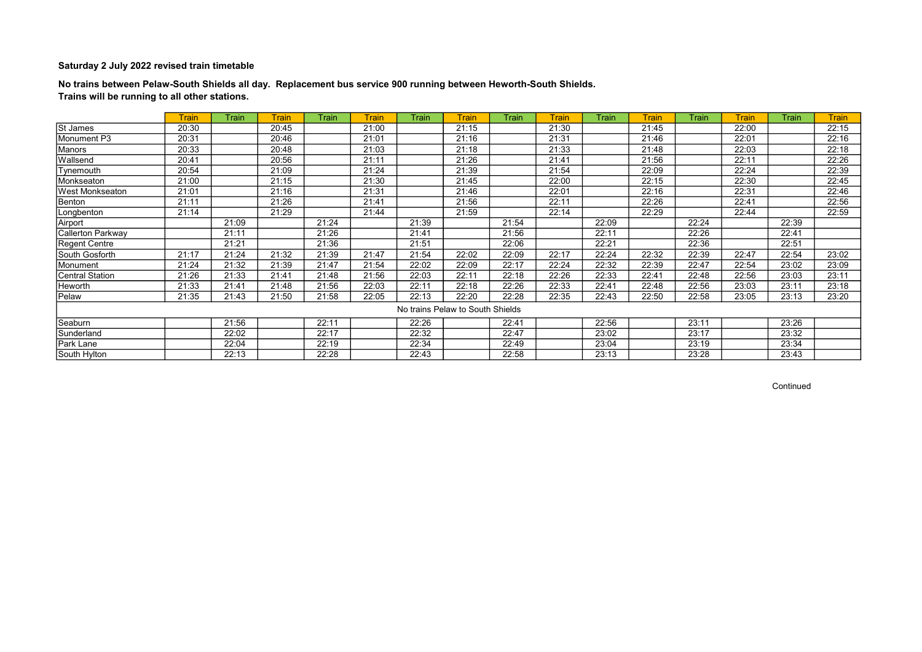No trains between Pelaw-South Shields all day. Replacement bus service 900 running between Heworth-South Shields. Trains will be running to all other stations.

|                        | <b>Train</b> | Train | <b>Train</b> | <b>Train</b> | <b>Train</b> | Train                            | Train | Train | <b>Train</b> | Train | <b>Train</b> | Train | <b>Train</b> | Train | <b>Train</b> |
|------------------------|--------------|-------|--------------|--------------|--------------|----------------------------------|-------|-------|--------------|-------|--------------|-------|--------------|-------|--------------|
| St James               | 20:30        |       | 20:45        |              | 21:00        |                                  | 21:15 |       | 21:30        |       | 21:45        |       | 22:00        |       | 22:15        |
| Monument P3            | 20:31        |       | 20:46        |              | 21:01        |                                  | 21:16 |       | 21:31        |       | 21:46        |       | 22:01        |       | 22:16        |
| Manors                 | 20:33        |       | 20:48        |              | 21:03        |                                  | 21:18 |       | 21:33        |       | 21:48        |       | 22:03        |       | 22:18        |
| Wallsend               | 20:41        |       | 20:56        |              | 21:11        |                                  | 21:26 |       | 21:41        |       | 21:56        |       | 22:11        |       | 22:26        |
| Tynemouth              | 20:54        |       | 21:09        |              | 21:24        |                                  | 21:39 |       | 21:54        |       | 22:09        |       | 22:24        |       | 22:39        |
| Monkseaton             | 21:00        |       | 21:15        |              | 21:30        |                                  | 21:45 |       | 22:00        |       | 22:15        |       | 22:30        |       | 22:45        |
| <b>West Monkseaton</b> | 21:01        |       | 21:16        |              | 21:31        |                                  | 21:46 |       | 22:01        |       | 22:16        |       | 22:31        |       | 22:46        |
| Benton                 | 21:11        |       | 21:26        |              | 21:41        |                                  | 21:56 |       | 22:11        |       | 22:26        |       | 22:41        |       | 22:56        |
| Longbenton             | 21:14        |       | 21:29        |              | 21:44        |                                  | 21:59 |       | 22:14        |       | 22:29        |       | 22:44        |       | 22:59        |
| Airport                |              | 21:09 |              | 21:24        |              | 21:39                            |       | 21:54 |              | 22:09 |              | 22:24 |              | 22:39 |              |
| Callerton Parkway      |              | 21:11 |              | 21:26        |              | 21:41                            |       | 21:56 |              | 22:11 |              | 22:26 |              | 22:41 |              |
| <b>Regent Centre</b>   |              | 21:21 |              | 21:36        |              | 21:51                            |       | 22:06 |              | 22:21 |              | 22:36 |              | 22:51 |              |
| South Gosforth         | 21:17        | 21:24 | 21:32        | 21:39        | 21:47        | 21:54                            | 22:02 | 22:09 | 22:17        | 22:24 | 22:32        | 22:39 | 22:47        | 22:54 | 23:02        |
| Monument               | 21:24        | 21:32 | 21:39        | 21:47        | 21:54        | 22:02                            | 22:09 | 22:17 | 22:24        | 22:32 | 22:39        | 22:47 | 22:54        | 23:02 | 23:09        |
| <b>Central Station</b> | 21:26        | 21:33 | 21:41        | 21:48        | 21:56        | 22:03                            | 22:11 | 22:18 | 22:26        | 22:33 | 22:41        | 22:48 | 22:56        | 23:03 | 23:11        |
| Heworth                | 21:33        | 21:41 | 21:48        | 21:56        | 22:03        | 22:11                            | 22:18 | 22:26 | 22:33        | 22:41 | 22:48        | 22:56 | 23:03        | 23:11 | 23:18        |
| Pelaw                  | 21:35        | 21:43 | 21:50        | 21:58        | 22:05        | 22:13                            | 22:20 | 22:28 | 22:35        | 22:43 | 22:50        | 22:58 | 23:05        | 23:13 | 23:20        |
|                        |              |       |              |              |              | No trains Pelaw to South Shields |       |       |              |       |              |       |              |       |              |
| Seaburn                |              | 21:56 |              | 22:11        |              | 22:26                            |       | 22:41 |              | 22:56 |              | 23:11 |              | 23:26 |              |
| Sunderland             |              | 22:02 |              | 22:17        |              | 22:32                            |       | 22:47 |              | 23:02 |              | 23:17 |              | 23:32 |              |
| Park Lane              |              | 22:04 |              | 22:19        |              | 22:34                            |       | 22:49 |              | 23:04 |              | 23:19 |              | 23:34 |              |
| South Hylton           |              | 22:13 |              | 22:28        |              | 22:43                            |       | 22:58 |              | 23:13 |              | 23:28 |              | 23:43 |              |